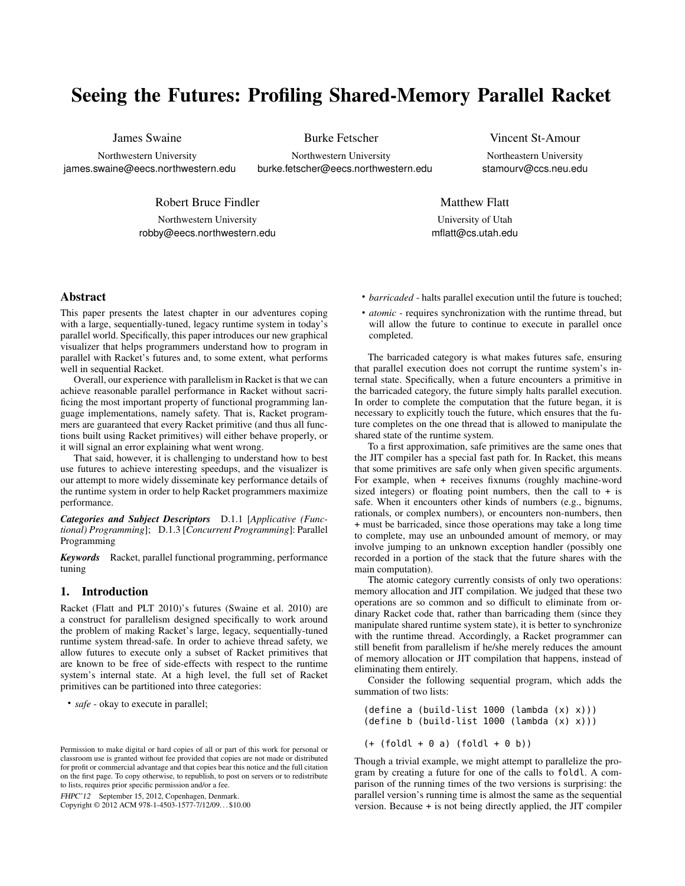# <span id="page-0-0"></span>Seeing the Futures: Profiling Shared-Memory Parallel Racket

James Swaine

Northwestern University james.swaine@eecs.northwestern.edu Burke Fetscher

Northwestern University burke.fetscher@eecs.northwestern.edu

Vincent St-Amour Northeastern University stamourv@ccs.neu.edu

Robert Bruce Findler

Northwestern University robby@eecs.northwestern.edu

# Abstract

This paper presents the latest chapter in our adventures coping with a large, sequentially-tuned, legacy runtime system in today's parallel world. Specifically, this paper introduces our new graphical visualizer that helps programmers understand how to program in parallel with Racket's futures and, to some extent, what performs well in sequential Racket.

Overall, our experience with parallelism in Racket is that we can achieve reasonable parallel performance in Racket without sacrificing the most important property of functional programming language implementations, namely safety. That is, Racket programmers are guaranteed that every Racket primitive (and thus all functions built using Racket primitives) will either behave properly, or it will signal an error explaining what went wrong.

That said, however, it is challenging to understand how to best use futures to achieve interesting speedups, and the visualizer is our attempt to more widely disseminate key performance details of the runtime system in order to help Racket programmers maximize performance.

*Categories and Subject Descriptors* D.1.1 [*Applicative (Functional) Programming*]; D.1.3 [*Concurrent Programming*]: Parallel Programming

*Keywords* Racket, parallel functional programming, performance tuning

# 1. Introduction

Racket (Flatt and PLT 2010)'s futures (Swaine et al. 2010) are a construct for parallelism designed specifically to work around the problem of making Racket's large, legacy, sequentially-tuned runtime system thread-safe. In order to achieve thread safety, we allow futures to execute only a subset of Racket primitives that are known to be free of side-effects with respect to the runtime system's internal state. At a high level, the full set of Racket primitives can be partitioned into three categories:

• *safe* - okay to execute in parallel;

FHPC'12 September 15, 2012, Copenhagen, Denmark.

Copyright © 2012 ACM 978-1-4503-1577-7/12/09. . . \$10.00

• *barricaded* - halts parallel execution until the future is touched;

Matthew Flatt University of Utah mflatt@cs.utah.edu

• *atomic* - requires synchronization with the runtime thread, but will allow the future to continue to execute in parallel once completed.

The barricaded category is what makes futures safe, ensuring that parallel execution does not corrupt the runtime system's internal state. Specifically, when a future encounters a primitive in the barricaded category, the future simply halts parallel execution. In order to complete the computation that the future began, it is necessary to explicitly touch the future, which ensures that the future completes on the one thread that is allowed to manipulate the shared state of the runtime system.

To a first approximation, safe primitives are the same ones that the JIT compiler has a special fast path for. In Racket, this means that some primitives are safe only when given specific arguments. For example, when + receives fixnums (roughly machine-word sized integers) or floating point numbers, then the call to  $+$  is safe. When it encounters other kinds of numbers (e.g., bignums, rationals, or complex numbers), or encounters non-numbers, then + must be barricaded, since those operations may take a long time to complete, may use an unbounded amount of memory, or may involve jumping to an unknown exception handler (possibly one recorded in a portion of the stack that the future shares with the main computation).

The atomic category currently consists of only two operations: memory allocation and JIT compilation. We judged that these two operations are so common and so difficult to eliminate from ordinary Racket code that, rather than barricading them (since they manipulate shared runtime system state), it is better to synchronize with the runtime thread. Accordingly, a Racket programmer can still benefit from parallelism if he/she merely reduces the amount of memory allocation or JIT compilation that happens, instead of eliminating them entirely.

Consider the following sequential program, which adds the summation of two lists:

```
(define a (build-list 1000 (lambda (x) x)))
(define b (build-list 1000 (lambda (x) x)))
```

```
(+ (fold + 0 a) (fold + 0 b))
```
Though a trivial example, we might attempt to parallelize the program by creating a future for one of the calls to foldl. A comparison of the running times of the two versions is surprising: the parallel version's running time is almost the same as the sequential version. Because + is not being directly applied, the JIT compiler

Permission to make digital or hard copies of all or part of this work for personal or classroom use is granted without fee provided that copies are not made or distributed for profit or commercial advantage and that copies bear this notice and the full citation on the first page. To copy otherwise, to republish, to post on servers or to redistribute to lists, requires prior specific permission and/or a fee.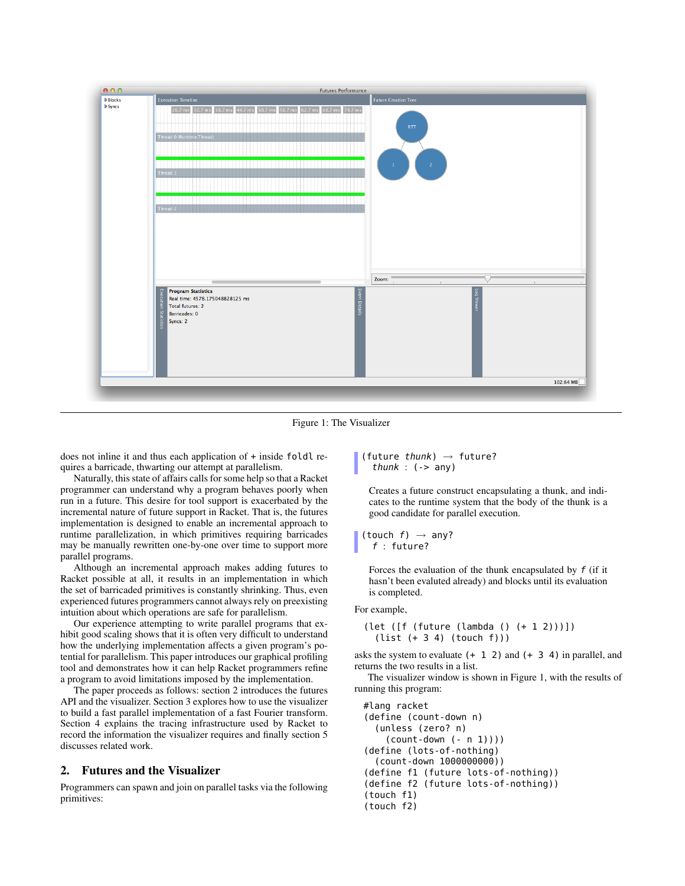

Figure 1: The Visualizer

does not inline it and thus each application of + inside foldl requires a barricade, thwarting our attempt at parallelism.

Naturally, this state of affairs calls for some help so that a Racket programmer can understand why a program behaves poorly when run in a future. This desire for tool support is exacerbated by the incremental nature of future support in Racket. That is, the futures implementation is designed to enable an incremental approach to runtime parallelization, in which primitives requiring barricades may be manually rewritten one-by-one over time to support more parallel programs.

Although an incremental approach makes adding futures to Racket possible at all, it results in an implementation in which the set of barricaded primitives is constantly shrinking. Thus, even experienced futures programmers cannot always rely on preexisting intuition about which operations are safe for parallelism.

Our experience attempting to write parallel programs that exhibit good scaling shows that it is often very difficult to understand how the underlying implementation affects a given program's potential for parallelism. This paper introduces our graphical profiling tool and demonstrates how it can help Racket programmers refine a program to avoid limitations imposed by the implementation.

The paper proceeds as follows: section 2 introduces the futures API and the visualizer. Section 3 explores how to use the visualizer to build a fast parallel implementation of a fast Fourier transform. Section 4 explains the tracing infrastructure used by Racket to record the information the visualizer requires and finally section 5 discusses related work.

# 2. Futures and the Visualizer

Programmers can spawn and join on parallel tasks via the following primitives:

## (future thunk)  $\rightarrow$  future? thunk :  $(->any)$

Creates a future construct encapsulating a thunk, and indicates to the runtime system that the body of the thunk is a good candidate for parallel execution.

$$
\begin{array}{l} \text{(touch } f) \rightarrow \text{any?} \\ f: \text{ future?} \end{array}
$$

Forces the evaluation of the thunk encapsulated by  $f$  (if it hasn't been evaluted already) and blocks until its evaluation is completed.

#### For example,

(let ([f (future (lambda () (+ 1 2)))]) (list (+ 3 4) (touch f)))

asks the system to evaluate  $(+ 1 2)$  and  $(+ 3 4)$  in parallel, and returns the two results in a list.

The visualizer window is shown in Figure 1, with the results of running this program:

```
#lang racket
(define (count-down n)
  (unless (zero? n)
    (count-down (- n 1))))
(define (lots-of-nothing)
  (count-down 1000000000))
(define f1 (future lots-of-nothing))
(define f2 (future lots-of-nothing))
(touch f1)
(touch f2)
```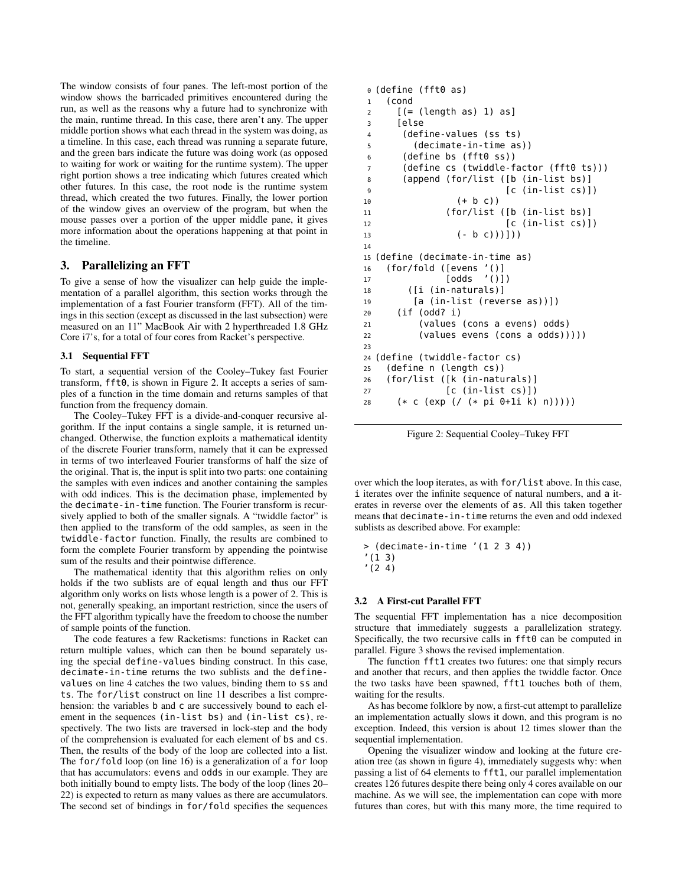The window consists of four panes. The left-most portion of the window shows the barricaded primitives encountered during the run, as well as the reasons why a future had to synchronize with the main, runtime thread. In this case, there aren't any. The upper middle portion shows what each thread in the system was doing, as a timeline. In this case, each thread was running a separate future, and the green bars indicate the future was doing work (as opposed to waiting for work or waiting for the runtime system). The upper right portion shows a tree indicating which futures created which other futures. In this case, the root node is the runtime system thread, which created the two futures. Finally, the lower portion of the window gives an overview of the program, but when the mouse passes over a portion of the upper middle pane, it gives more information about the operations happening at that point in the timeline.

# 3. Parallelizing an FFT

To give a sense of how the visualizer can help guide the implementation of a parallel algorithm, this section works through the implementation of a fast Fourier transform (FFT). All of the timings in this section (except as discussed in the last subsection) were measured on an 11" MacBook Air with 2 hyperthreaded 1.8 GHz Core i7's, for a total of four cores from Racket's perspective.

#### 3.1 Sequential FFT

To start, a sequential version of the Cooley–Tukey fast Fourier transform, fft0, is shown in Figure 2. It accepts a series of samples of a function in the time domain and returns samples of that function from the frequency domain.

The Cooley–Tukey FFT is a divide-and-conquer recursive algorithm. If the input contains a single sample, it is returned unchanged. Otherwise, the function exploits a mathematical identity of the discrete Fourier transform, namely that it can be expressed in terms of two interleaved Fourier transforms of half the size of the original. That is, the input is split into two parts: one containing the samples with even indices and another containing the samples with odd indices. This is the decimation phase, implemented by the decimate-in-time function. The Fourier transform is recursively applied to both of the smaller signals. A "twiddle factor" is then applied to the transform of the odd samples, as seen in the twiddle-factor function. Finally, the results are combined to form the complete Fourier transform by appending the pointwise sum of the results and their pointwise difference.

The mathematical identity that this algorithm relies on only holds if the two sublists are of equal length and thus our FFT algorithm only works on lists whose length is a power of 2. This is not, generally speaking, an important restriction, since the users of the FFT algorithm typically have the freedom to choose the number of sample points of the function.

The code features a few Racketisms: functions in Racket can return multiple values, which can then be bound separately using the special define-values binding construct. In this case, decimate-in-time returns the two sublists and the definevalues on line 4 catches the two values, binding them to ss and ts. The for/list construct on line 11 describes a list comprehension: the variables **b** and **c** are successively bound to each element in the sequences (in-list bs) and (in-list cs), respectively. The two lists are traversed in lock-step and the body of the comprehension is evaluated for each element of bs and cs. Then, the results of the body of the loop are collected into a list. The for/fold loop (on line 16) is a generalization of a for loop that has accumulators: evens and odds in our example. They are both initially bound to empty lists. The body of the loop (lines 20– 22) is expected to return as many values as there are accumulators. The second set of bindings in for/fold specifies the sequences

```
0 (define (fft0 as)
1 (cond
2 [(= (length as) 1) as]
3 [else
4 (define-values (ss ts)
5 (decimate-in-time as))
6 (define bs (fft0 ss))
7 (define cs (twiddle-factor (fft0 ts)))
8 (append (for/list ([b (in-list bs)]
9 [c (in-list cs)])
10 (+ b c))
11 (for/list ([b (in-list bs)]
12 [c (in-list cs)])
13 (- b c)))]))
14
15 (define (decimate-in-time as)
16 (for/fold ([evens '()]
17 [odds '()])
18 ([i (in-naturals)]
19 [a (in-list (reverse as))])
20 (if (odd? i)
21 (values (cons a evens) odds)
22 (values evens (cons a odds)))))
23
24 (define (twiddle-factor cs)
25 (define n (length cs))
26 (for/list ([k (in-naturals)]
27 [c (in-list cs)])
28 (* c (exp (/ (* pi 0+1i k) n)))))
```
Figure 2: Sequential Cooley–Tukey FFT

over which the loop iterates, as with for/list above. In this case, i iterates over the infinite sequence of natural numbers, and a iterates in reverse over the elements of as. All this taken together means that decimate-in-time returns the even and odd indexed sublists as described above. For example:

```
> (decimate-in-time '(1 2 3 4))
'(1 \; 3)'(24)
```
### 3.2 A First-cut Parallel FFT

The sequential FFT implementation has a nice decomposition structure that immediately suggests a parallelization strategy. Specifically, the two recursive calls in fft0 can be computed in parallel. Figure 3 shows the revised implementation.

The function fft1 creates two futures: one that simply recurs and another that recurs, and then applies the twiddle factor. Once the two tasks have been spawned, fft1 touches both of them, waiting for the results.

As has become folklore by now, a first-cut attempt to parallelize an implementation actually slows it down, and this program is no exception. Indeed, this version is about 12 times slower than the sequential implementation.

Opening the visualizer window and looking at the future creation tree (as shown in figure 4), immediately suggests why: when passing a list of 64 elements to fft1, our parallel implementation creates 126 futures despite there being only 4 cores available on our machine. As we will see, the implementation can cope with more futures than cores, but with this many more, the time required to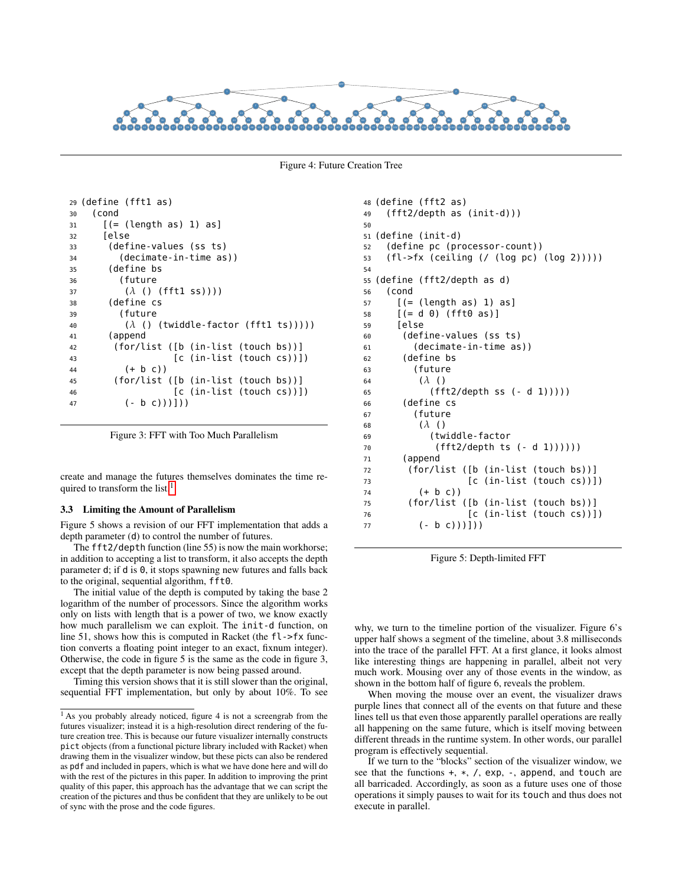

Figure 4: Future Creation Tree

```
29 (define (fft1 as)
     ( cond
30
       [ (= (length as) 1) as]31Telse
32
33
        (define-values (ss ts)
          (decimate-in-time as))
34\overline{35}(define hs
36
          (future
            (\lambda () (fft1 ss))))
37(define cs
38
\overline{3}9(future
40(\lambda () (twiddle-factor (fft1 ts)))))
41(append
         (for/list ([b (in-list (touch bs))]
42[c (in-list (touch cs))])43
            (+ b c))4445
         (for/list ([b (in-list (touch bs))]
46[c (in-list (touch cs))])47
            (-b c))])
```
Figure 3: FFT with Too Much Parallelism

create and manage the futures themselves dominates the time required to transform the list. $<sup>1</sup>$ </sup>

#### 3.3 Limiting the Amount of Parallelism

Figure 5 shows a revision of our FFT implementation that adds a depth parameter (d) to control the number of futures.

The fft2/depth function (line 55) is now the main workhorse; in addition to accepting a list to transform, it also accepts the depth parameter d; if d is 0, it stops spawning new futures and falls back to the original, sequential algorithm, fft0.

The initial value of the depth is computed by taking the base 2 logarithm of the number of processors. Since the algorithm works only on lists with length that is a power of two, we know exactly how much parallelism we can exploit. The init-d function, on line 51, shows how this is computed in Racket (the  $f1 - f \times f$  function converts a floating point integer to an exact, fixnum integer). Otherwise, the code in figure 5 is the same as the code in figure 3, except that the depth parameter is now being passed around.

Timing this version shows that it is still slower than the original, sequential FFT implementation, but only by about 10%. To see

```
48 (define (fft2 as)
    (fft2/depth as (init-d)))
49
50
51 (define (init-d)
    (define pc (processor-count))
52
    (fl->fx (ceiling (/ (log pc) (log 2)))))
53
54(define (fft2/depth as d)
55
56
    (cond
      [ (= (length as) 1) as]57
58
      [ (= d 0) (fft0 as)]59Lelse
60
        (define-values (ss ts)
          (decimate-in-time as))
61
        (define bs
62
          (future
63
64
           (\lambda \)(fft2/depth ss (- d 1))))65
        (define cs
66
67
          (future
68
           (\lambda)(twiddle-factor
69
70
              (fft2/depth ts (- d 1)))))71(append
         (for/list ([b (in-list (touch bs))]
7273
                     [c (in-list (touch cs))])(+ b c))7475(for/list ([b (in-list (touch bs))]
76
                     [c (in-list (touch cs))])77(-b c))])
```
Figure 5: Depth-limited FFT

why, we turn to the timeline portion of the visualizer. Figure 6's upper half shows a segment of the timeline, about 3.8 milliseconds into the trace of the parallel FFT. At a first glance, it looks almost like interesting things are happening in parallel, albeit not very much work. Mousing over any of those events in the window, as shown in the bottom half of figure 6, reveals the problem.

When moving the mouse over an event, the visualizer draws purple lines that connect all of the events on that future and these lines tell us that even those apparently parallel operations are really all happening on the same future, which is itself moving between different threads in the runtime system. In other words, our parallel program is effectively sequential.

If we turn to the "blocks" section of the visualizer window, we see that the functions  $+, *, /, exp, -, append, and touch are$ all barricaded. Accordingly, as soon as a future uses one of those operations it simply pauses to wait for its touch and thus does not execute in parallel.

<span id="page-3-0"></span> $1$  As you probably already noticed, figure 4 is not a screengrab from the futures visualizer; instead it is a high-resolution direct rendering of the future creation tree. This is because our future visualizer internally constructs pict objects (from a functional picture library included with Racket) when drawing them in the visualizer window, but these picts can also be rendered as pdf and included in papers, which is what we have done here and will do with the rest of the pictures in this paper. In addition to improving the print quality of this paper, this approach has the advantage that we can script the creation of the pictures and thus be confident that they are unlikely to be out of sync with the prose and the code figures.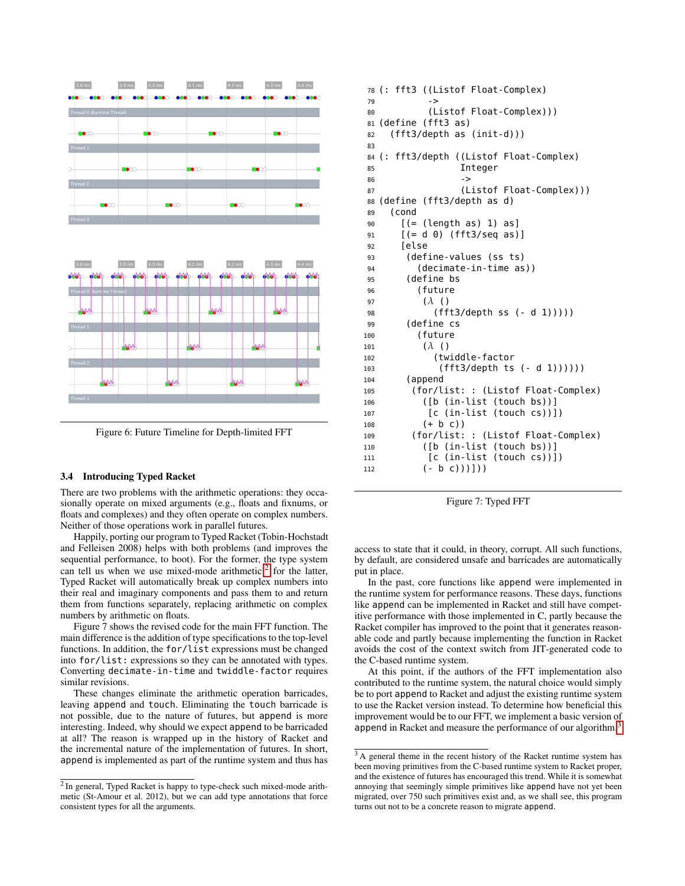

Figure 6: Future Timeline for Depth-limited FFT

#### 3.4 Introducing Typed Racket

There are two problems with the arithmetic operations: they occasionally operate on mixed arguments (e.g., floats and fixnums, or floats and complexes) and they often operate on complex numbers. Neither of those operations work in parallel futures.

Happily, porting our program to Typed Racket (Tobin-Hochstadt) and Felleisen 2008) helps with both problems (and improves the sequential performance, to boot). For the former, the type system can tell us when we use mixed-mode arithmetic;<sup>2</sup> for the latter, Typed Racket will automatically break up complex numbers into their real and imaginary components and pass them to and return them from functions separately, replacing arithmetic on complex numbers by arithmetic on floats.

Figure 7 shows the revised code for the main FFT function. The main difference is the addition of type specifications to the top-level functions. In addition, the for/list expressions must be changed into for/list: expressions so they can be annotated with types. Converting decimate-in-time and twiddle-factor requires similar revisions.

These changes eliminate the arithmetic operation barricades, leaving append and touch. Eliminating the touch barricade is not possible, due to the nature of futures, but append is more interesting. Indeed, why should we expect append to be barricaded at all? The reason is wrapped up in the history of Racket and the incremental nature of the implementation of futures. In short, append is implemented as part of the runtime system and thus has

```
78 (: fft3 ((Listof Float-Complex)
79
             \rightarrow80
             (Listof Float-Complex)))
   (define (fft3 as)
81
     (fft3/depth as (init-d)))
82
83(: fft3/depth ((Listof Float-Complex)
84
                    Integer
85
86
                    \rightarrow(Listof Float-Complex)))
87
   (define (fft3/depth as d)
88
89(cond
90
        [ (= (length as) 1) as][ (= d 0) (fft3/seq as)]Q<sub>1</sub>[else
92
         (define-values (ss ts)
93
94(decimate-in-time as))
         (define hs
95
           (future
96
97(\lambda)()(fft3/depth ss (- d 1))))98
         (define cs
99
           (future
100
            (\lambda)101
              (twiddle-factor
102
                (fft3/depth ts (- d 1))))103
         (append
104
          (for/list: : (Listof Float-Complex)
105
            ([b (in-list (touch bs))]
106
             [c (in-list (touch cs))])107
            (+ b c))108
109
          (for/list:: (Listof Float-Complex)
            ([b (in-list (touch bs))]110
             [c (in-list (touch cs))])111
112
            (-b c))])
```
Figure 7: Typed FFT

access to state that it could, in theory, corrupt. All such functions, by default, are considered unsafe and barricades are automatically put in place.

In the past, core functions like append were implemented in the runtime system for performance reasons. These days, functions like append can be implemented in Racket and still have competitive performance with those implemented in C, partly because the Racket compiler has improved to the point that it generates reasonable code and partly because implementing the function in Racket avoids the cost of the context switch from JIT-generated code to the C-based runtime system.

At this point, if the authors of the FFT implementation also contributed to the runtime system, the natural choice would simply be to port append to Racket and adjust the existing runtime system to use the Racket version instead. To determine how beneficial this improvement would be to our FFT, we implement a basic version of append in Racket and measure the performance of our algorithm.<sup>3</sup>

<span id="page-4-0"></span> $2$  In general, Typed Racket is happy to type-check such mixed-mode arithmetic (St-Amour et al. 2012), but we can add type annotations that force consistent types for all the arguments.

<span id="page-4-1"></span> $3A$  general theme in the recent history of the Racket runtime system has been moving primitives from the C-based runtime system to Racket proper, and the existence of futures has encouraged this trend. While it is somewhat annoying that seemingly simple primitives like append have not yet been migrated, over 750 such primitives exist and, as we shall see, this program turns out not to be a concrete reason to migrate append.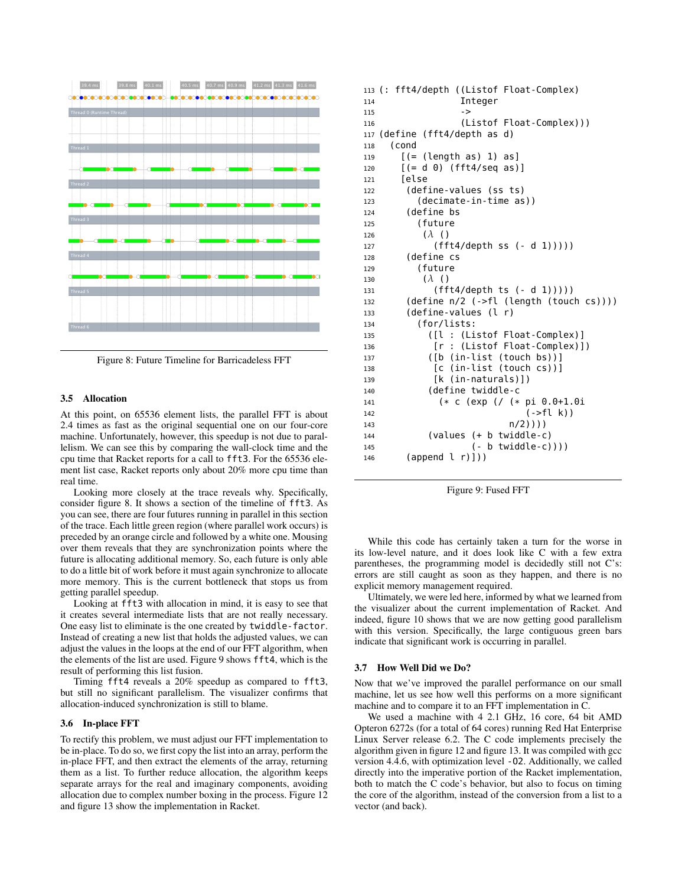

Figure 8: Future Timeline for Barricadeless FFT

#### 3.5 Allocation

At this point, on 65536 element lists, the parallel FFT is about 2.4 times as fast as the original sequential one on our four-core machine. Unfortunately, however, this speedup is not due to parallelism. We can see this by comparing the wall-clock time and the cpu time that Racket reports for a call to fft3. For the 65536 element list case, Racket reports only about 20% more cpu time than real time.

Looking more closely at the trace reveals why. Specifically, consider figure 8. It shows a section of the timeline of fft3. As you can see, there are four futures running in parallel in this section of the trace. Each little green region (where parallel work occurs) is preceded by an orange circle and followed by a white one. Mousing over them reveals that they are synchronization points where the future is allocating additional memory. So, each future is only able to do a little bit of work before it must again synchronize to allocate more memory. This is the current bottleneck that stops us from getting parallel speedup.

Looking at fft3 with allocation in mind, it is easy to see that it creates several intermediate lists that are not really necessary. One easy list to eliminate is the one created by twiddle-factor. Instead of creating a new list that holds the adjusted values, we can adjust the values in the loops at the end of our FFT algorithm, when the elements of the list are used. Figure 9 shows fft4, which is the result of performing this list fusion.

Timing fft4 reveals a 20% speedup as compared to fft3, but still no significant parallelism. The visualizer confirms that allocation-induced synchronization is still to blame.

#### 3.6 In-place FFT

To rectify this problem, we must adjust our FFT implementation to be in-place. To do so, we first copy the list into an array, perform the in-place FFT, and then extract the elements of the array, returning them as a list. To further reduce allocation, the algorithm keeps separate arrays for the real and imaginary components, avoiding allocation due to complex number boxing in the process. Figure 12 and figure 13 show the implementation in Racket.

```
113 (: fft4/depth ((Listof Float-Complex)
114 Integer
115 ->
116 (Listof Float-Complex)))
117 (define (fft4/depth as d)
118 (cond
119 [(= (length as) 1) as]
120 [(= d 0) (fft4/seq as)]
121 [else
122 (define-values (ss ts)
123 (decimate-in-time as))
124 (define bs
125 (future
126 (λ ()
127 (fft4/depth ss (- d 1)))))
128 (define cs
129 (future
130 (\lambda \)131 (fft4/depth ts (- d 1)))))
132 (define n/2 (->fl (length (touch cs))))
133 (define-values (l r)
134 (for/lists:
135 ([l : (Listof Float-Complex)]
136 [r : (Listof Float-Complex)])
137 ([b (in-list (touch bs))]
138 [c (in-list (touch cs))]
139 [k (in-naturals)])
140 (define twiddle-c
141 (* c (exp (/ (* pi 0.0+1.0i
                       (-5f1 k)143 n/2))))
144 (values (+ b twiddle-c)
145 (- b twiddle-c))))
146 (append l r)]))
```
Figure 9: Fused FFT

While this code has certainly taken a turn for the worse in its low-level nature, and it does look like C with a few extra parentheses, the programming model is decidedly still not C's: errors are still caught as soon as they happen, and there is no explicit memory management required.

Ultimately, we were led here, informed by what we learned from the visualizer about the current implementation of Racket. And indeed, figure 10 shows that we are now getting good parallelism with this version. Specifically, the large contiguous green bars indicate that significant work is occurring in parallel.

#### 3.7 How Well Did we Do?

Now that we've improved the parallel performance on our small machine, let us see how well this performs on a more significant machine and to compare it to an FFT implementation in C.

We used a machine with 4 2.1 GHz, 16 core, 64 bit AMD Opteron 6272s (for a total of 64 cores) running Red Hat Enterprise Linux Server release 6.2. The C code implements precisely the algorithm given in figure 12 and figure 13. It was compiled with gcc version 4.4.6, with optimization level -O2. Additionally, we called directly into the imperative portion of the Racket implementation, both to match the C code's behavior, but also to focus on timing the core of the algorithm, instead of the conversion from a list to a vector (and back).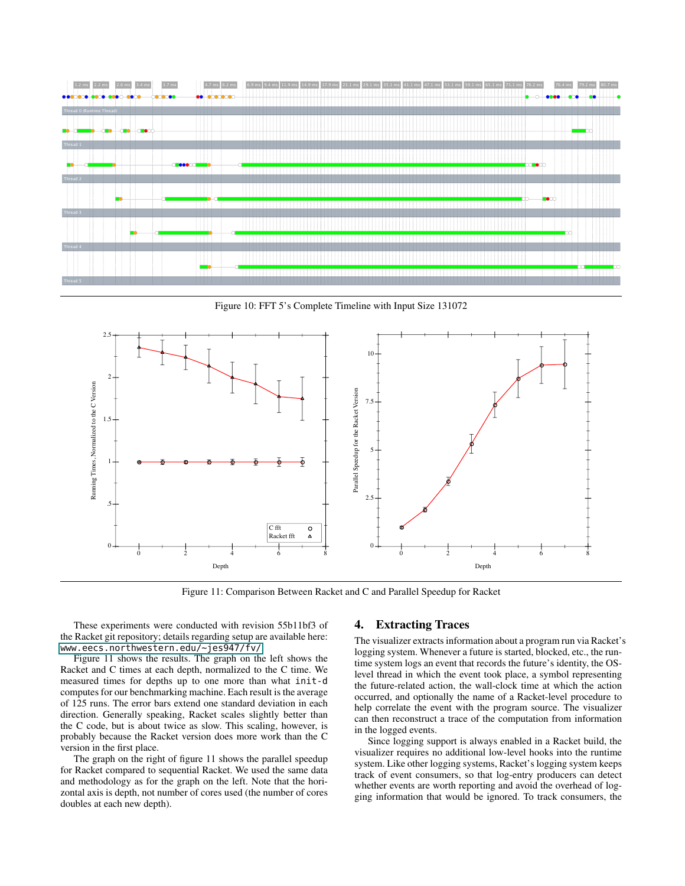

Figure 10: FFT 5's Complete Timeline with Input Size 131072



Figure 11: Comparison Between Racket and C and Parallel Speedup for Racket

These experiments were conducted with revision 55b11bf3 of the Racket git repository; details regarding setup are available here: www.eecs.northwestern.edu/~jes947/fv/.

Figure 11 shows the results. The graph on the left shows the Racket and C times at each depth, normalized to the C time. We measured times for depths up to one more than what init-d computes for our benchmarking machine. Each result is the average of 125 runs. The error bars extend one standard deviation in each direction. Generally speaking, Racket scales slightly better than the C code, but is about twice as slow. This scaling, however, is probably because the Racket version does more work than the C version in the first place.

The graph on the right of figure 11 shows the parallel speedup for Racket compared to sequential Racket. We used the same data and methodology as for the graph on the left. Note that the horizontal axis is depth, not number of cores used (the number of cores doubles at each new depth).

#### **Extracting Traces** 4.

The visualizer extracts information about a program run via Racket's logging system. Whenever a future is started, blocked, etc., the runtime system logs an event that records the future's identity, the OSlevel thread in which the event took place, a symbol representing the future-related action, the wall-clock time at which the action occurred, and optionally the name of a Racket-level procedure to help correlate the event with the program source. The visualizer can then reconstruct a trace of the computation from information in the logged events.

Since logging support is always enabled in a Racket build, the visualizer requires no additional low-level hooks into the runtime system. Like other logging systems, Racket's logging system keeps track of event consumers, so that log-entry producers can detect whether events are worth reporting and avoid the overhead of logging information that would be ignored. To track consumers, the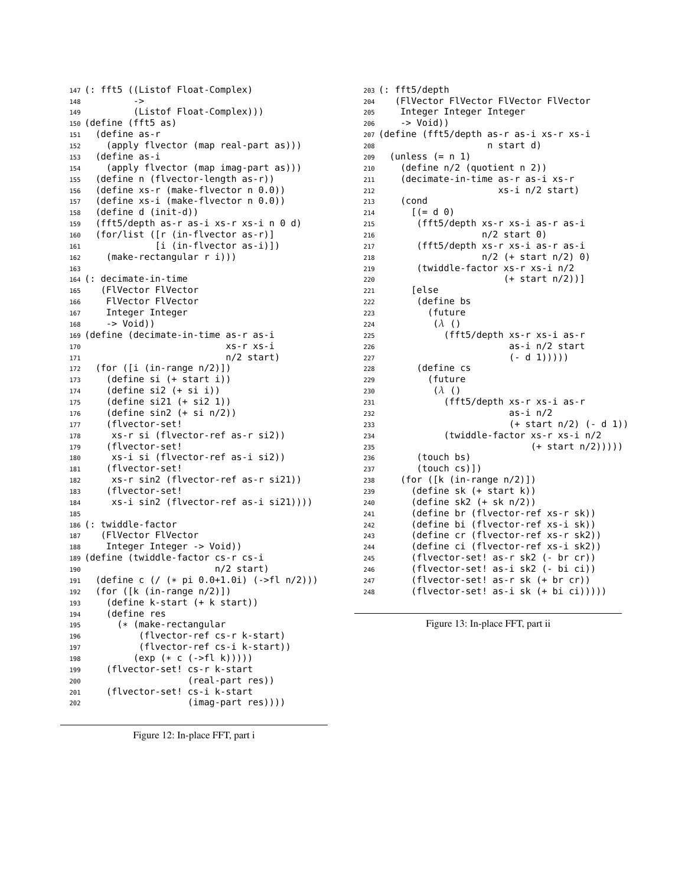```
147 (: fft5 ((Listof Float-Complex)
148 ->
149 (Listof Float-Complex)))
150 (define (fft5 as)
151 (define as-r
152 (apply flvector (map real-part as)))
153 (define as-i
154 (apply flvector (map imag-part as)))
155 (define n (flvector-length as-r))
156 (define xs-r (make-flvector n 0.0))
157 (define xs-i (make-flvector n 0.0))
158 (define d (init-d))
159 (fft5/depth as-r as-i xs-r xs-i n 0 d)
160 (for/list ([r (in-flvector as-r)]
161 [i (in-flvector as-i)])
162 (make-rectangular r i)))
163
164 (: decimate-in-time
165 (FlVector FlVector
166 FlVector FlVector
167 Integer Integer
168 -> Void))
169 (define (decimate-in-time as-r as-i
170 xs-r xs-i
171 n/2 start)
172 (for ([i (in-range n/2)])
173 (define si (+ start i))
174 (define si2 (+ si i))
175 (define si21 (+ si2 1))
176 (define sin2 (+ si n/2))
177 (flvector-set!
178 xs-r si (flvector-ref as-r si2))
179 (flvector-set!
180 xs-i si (flvector-ref as-i si2))
181 (flvector-set!
182 xs-r sin2 (flvector-ref as-r si21))
183 (flvector-set!
184 xs-i sin2 (flvector-ref as-i si21))))
185
186 (: twiddle-factor
187 (FlVector FlVector
188 Integer Integer -> Void))
189 (define (twiddle-factor cs-r cs-i
190 n/2 start)
191 (define c (/ (* pi 0.0+1.0i) (->fl n/2)))
    (for ([k (in-range n/2)])193 (define k-start (+ k start))
194 (define res
195 (* (make-rectangular
196 (flvector-ref cs-r k-start)
197 (flvector-ref cs-i k-start))
198 (exp (* c (->fl k))))<br>
199 (flvector-set! cs-r k-start
      199 (flvector-set! cs-r k-start
200 (real-part res))
201 (flvector-set! cs-i k-start
202 (imag-part res))))
```
 (: fft5/depth (FlVector FlVector FlVector FlVector Integer Integer Integer -> Void)) (define (fft5/depth as-r as-i xs-r xs-i n start d) (unless (= n 1) (define n/2 (quotient n 2)) (decimate-in-time as-r as-i xs-r xs-i n/2 start) (cond [(= d 0) (fft5/depth xs-r xs-i as-r as-i n/2 start 0) (fft5/depth xs-r xs-i as-r as-i n/2 (+ start n/2) 0) (twiddle-factor xs-r xs-i n/2 (+ start n/2))] [else (define bs (future 224 ( $\lambda$  () (fft5/depth xs-r xs-i as-r as-i n/2 start (- d 1))))) (define cs (future (*λ* () (fft5/depth xs-r xs-i as-r as-i n/2 (+ start n/2) (- d 1)) (twiddle-factor xs-r xs-i n/2 (+ start n/2))))) (touch bs) (touch cs)]) (for ([k (in-range n/2)]) (define sk (+ start k)) (define sk2 (+ sk n/2)) (define br (flvector-ref xs-r sk)) (define bi (flvector-ref xs-i sk)) (define cr (flvector-ref xs-r sk2)) (define ci (flvector-ref xs-i sk2)) (flvector-set! as-r sk2 (- br cr)) (flvector-set! as-i sk2 (- bi ci)) (flvector-set! as-r sk (+ br cr)) (flvector-set! as-i sk (+ bi ci)))))

Figure 13: In-place FFT, part ii

Figure 12: In-place FFT, part i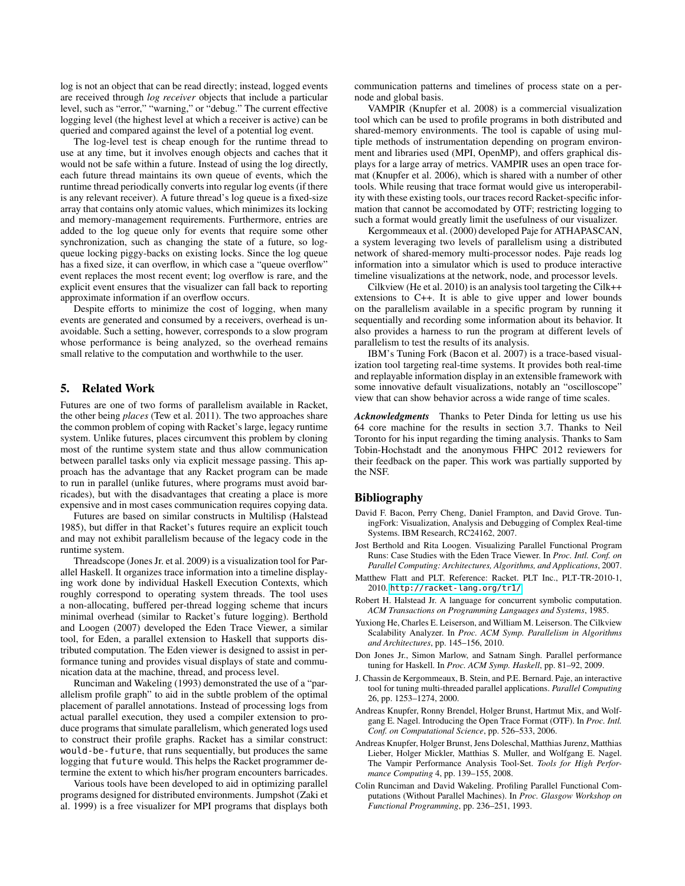log is not an object that can be read directly; instead, logged events are received through *log receiver* objects that include a particular level, such as "error," "warning," or "debug." The current effective logging level (the highest level at which a receiver is active) can be queried and compared against the level of a potential log event.

The log-level test is cheap enough for the runtime thread to use at any time, but it involves enough objects and caches that it would not be safe within a future. Instead of using the log directly, each future thread maintains its own queue of events, which the runtime thread periodically converts into regular log events (if there is any relevant receiver). A future thread's log queue is a fixed-size array that contains only atomic values, which minimizes its locking and memory-management requirements. Furthermore, entries are added to the log queue only for events that require some other synchronization, such as changing the state of a future, so logqueue locking piggy-backs on existing locks. Since the log queue has a fixed size, it can overflow, in which case a "queue overflow" event replaces the most recent event; log overflow is rare, and the explicit event ensures that the visualizer can fall back to reporting approximate information if an overflow occurs.

Despite efforts to minimize the cost of logging, when many events are generated and consumed by a receivers, overhead is unavoidable. Such a setting, however, corresponds to a slow program whose performance is being analyzed, so the overhead remains small relative to the computation and worthwhile to the user.

# 5. Related Work

Futures are one of two forms of parallelism available in Racket, the other being *places* (Tew et al. 2011). The two approaches share the common problem of coping with Racket's large, legacy runtime system. Unlike futures, places circumvent this problem by cloning most of the runtime system state and thus allow communication between parallel tasks only via explicit message passing. This approach has the advantage that any Racket program can be made to run in parallel (unlike futures, where programs must avoid barricades), but with the disadvantages that creating a place is more expensive and in most cases communication requires copying data.

Futures are based on similar constructs in Multilisp (Halstead 1985), but differ in that Racket's futures require an explicit touch and may not exhibit parallelism because of the legacy code in the runtime system.

Threadscope (Jones Jr. et al. 2009) is a visualization tool for Parallel Haskell. It organizes trace information into a timeline displaying work done by individual Haskell Execution Contexts, which roughly correspond to operating system threads. The tool uses a non-allocating, buffered per-thread logging scheme that incurs minimal overhead (similar to Racket's future logging). Berthold and Loogen (2007) developed the Eden Trace Viewer, a similar tool, for Eden, a parallel extension to Haskell that supports distributed computation. The Eden viewer is designed to assist in performance tuning and provides visual displays of state and communication data at the machine, thread, and process level.

Runciman and Wakeling (1993) demonstrated the use of a "parallelism profile graph" to aid in the subtle problem of the optimal placement of parallel annotations. Instead of processing logs from actual parallel execution, they used a compiler extension to produce programs that simulate parallelism, which generated logs used to construct their profile graphs. Racket has a similar construct: would-be-future, that runs sequentially, but produces the same logging that future would. This helps the Racket programmer determine the extent to which his/her program encounters barricades.

Various tools have been developed to aid in optimizing parallel programs designed for distributed environments. Jumpshot (Zaki et al. 1999) is a free visualizer for MPI programs that displays both communication patterns and timelines of process state on a pernode and global basis.

VAMPIR (Knupfer et al. 2008) is a commercial visualization tool which can be used to profile programs in both distributed and shared-memory environments. The tool is capable of using multiple methods of instrumentation depending on program environment and libraries used (MPI, OpenMP), and offers graphical displays for a large array of metrics. VAMPIR uses an open trace format (Knupfer et al. 2006), which is shared with a number of other tools. While reusing that trace format would give us interoperability with these existing tools, our traces record Racket-specific information that cannot be accomodated by OTF; restricting logging to such a format would greatly limit the usefulness of our visualizer.

Kergommeaux et al. (2000) developed Paje for ATHAPASCAN, a system leveraging two levels of parallelism using a distributed network of shared-memory multi-processor nodes. Paje reads log information into a simulator which is used to produce interactive timeline visualizations at the network, node, and processor levels.

Cilkview (He et al. 2010) is an analysis tool targeting the Cilk++ extensions to C++. It is able to give upper and lower bounds on the parallelism available in a specific program by running it sequentially and recording some information about its behavior. It also provides a harness to run the program at different levels of parallelism to test the results of its analysis.

IBM's Tuning Fork (Bacon et al. 2007) is a trace-based visualization tool targeting real-time systems. It provides both real-time and replayable information display in an extensible framework with some innovative default visualizations, notably an "oscilloscope" view that can show behavior across a wide range of time scales.

*Acknowledgments* Thanks to Peter Dinda for letting us use his 64 core machine for the results in section 3.7. Thanks to Neil Toronto for his input regarding the timing analysis. Thanks to Sam Tobin-Hochstadt and the anonymous FHPC 2012 reviewers for their feedback on the paper. This work was partially supported by the NSF.

# Bibliography

- David F. Bacon, Perry Cheng, Daniel Frampton, and David Grove. TuningFork: Visualization, Analysis and Debugging of Complex Real-time Systems. IBM Research, RC24162, 2007.
- Jost Berthold and Rita Loogen. Visualizing Parallel Functional Program Runs: Case Studies with the Eden Trace Viewer. In *Proc. Intl. Conf. on Parallel Computing: Architectures, Algorithms, and Applications*, 2007.
- Matthew Flatt and PLT. Reference: Racket. PLT Inc., PLT-TR-2010-1, 2010. <http://racket-lang.org/tr1/>
- Robert H. Halstead Jr. A language for concurrent symbolic computation. *ACM Transactions on Programming Languages and Systems*, 1985.
- Yuxiong He, Charles E. Leiserson, and William M. Leiserson. The Cilkview Scalability Analyzer. In *Proc. ACM Symp. Parallelism in Algorithms and Architectures*, pp. 145–156, 2010.
- Don Jones Jr., Simon Marlow, and Satnam Singh. Parallel performance tuning for Haskell. In *Proc. ACM Symp. Haskell*, pp. 81–92, 2009.
- J. Chassin de Kergommeaux, B. Stein, and P.E. Bernard. Paje, an interactive tool for tuning multi-threaded parallel applications. *Parallel Computing* 26, pp. 1253–1274, 2000.
- Andreas Knupfer, Ronny Brendel, Holger Brunst, Hartmut Mix, and Wolfgang E. Nagel. Introducing the Open Trace Format (OTF). In *Proc. Intl. Conf. on Computational Science*, pp. 526–533, 2006.
- Andreas Knupfer, Holger Brunst, Jens Doleschal, Matthias Jurenz, Matthias Lieber, Holger Mickler, Matthias S. Muller, and Wolfgang E. Nagel. The Vampir Performance Analysis Tool-Set. *Tools for High Performance Computing* 4, pp. 139–155, 2008.
- Colin Runciman and David Wakeling. Profiling Parallel Functional Computations (Without Parallel Machines). In *Proc. Glasgow Workshop on Functional Programming*, pp. 236–251, 1993.